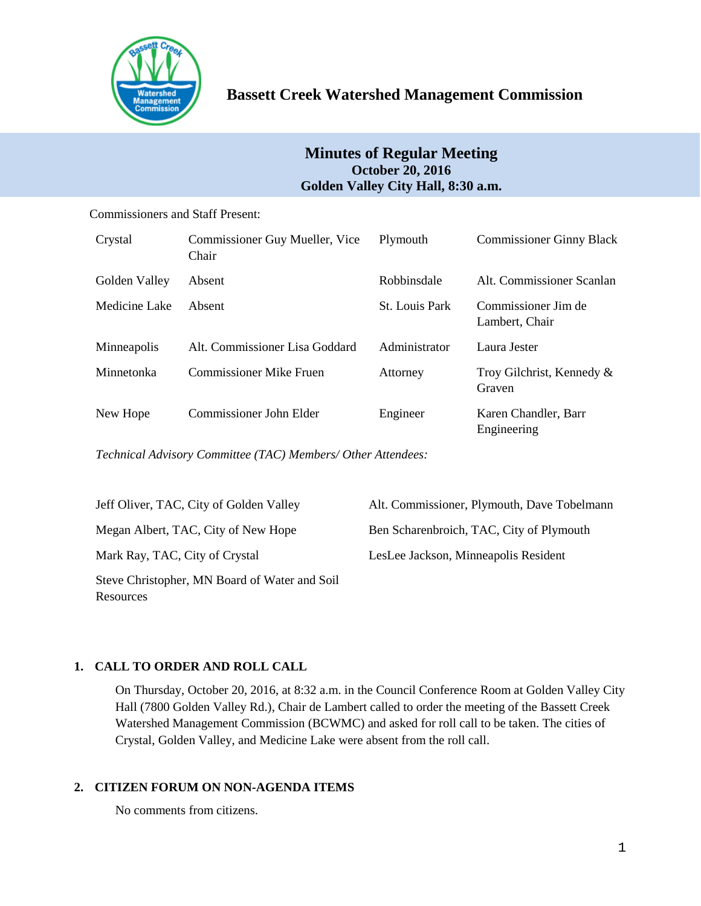

# **Minutes of Regular Meeting October 20, 2016 Golden Valley City Hall, 8:30 a.m.**

Commissioners and Staff Present:

| Crystal       | Commissioner Guy Mueller, Vice<br>Chair | Plymouth              | <b>Commissioner Ginny Black</b>       |
|---------------|-----------------------------------------|-----------------------|---------------------------------------|
| Golden Valley | Absent                                  | Robbinsdale           | Alt. Commissioner Scanlan             |
| Medicine Lake | Absent                                  | <b>St.</b> Louis Park | Commissioner Jim de<br>Lambert, Chair |
| Minneapolis   | Alt. Commissioner Lisa Goddard          | Administrator         | Laura Jester                          |
| Minnetonka    | Commissioner Mike Fruen                 | Attorney              | Troy Gilchrist, Kennedy &<br>Graven   |
| New Hope      | Commissioner John Elder                 | Engineer              | Karen Chandler, Barr<br>Engineering   |

*Technical Advisory Committee (TAC) Members/ Other Attendees:*

| Jeff Oliver, TAC, City of Golden Valley                    | Alt. Commissioner, Plymouth, Dave Tobelmann |
|------------------------------------------------------------|---------------------------------------------|
| Megan Albert, TAC, City of New Hope                        | Ben Scharenbroich, TAC, City of Plymouth    |
| Mark Ray, TAC, City of Crystal                             | LesLee Jackson, Minneapolis Resident        |
| Steve Christopher, MN Board of Water and Soil<br>Resources |                                             |

# **1. CALL TO ORDER AND ROLL CALL**

On Thursday, October 20, 2016, at 8:32 a.m. in the Council Conference Room at Golden Valley City Hall (7800 Golden Valley Rd.), Chair de Lambert called to order the meeting of the Bassett Creek Watershed Management Commission (BCWMC) and asked for roll call to be taken. The cities of Crystal, Golden Valley, and Medicine Lake were absent from the roll call.

# **2. CITIZEN FORUM ON NON-AGENDA ITEMS**

No comments from citizens.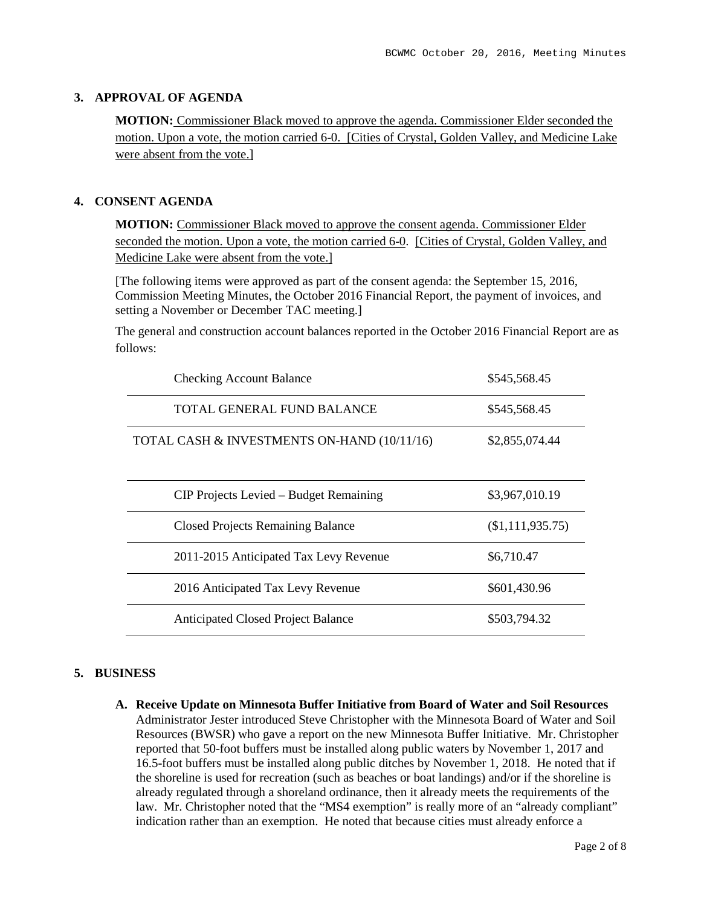## **3. APPROVAL OF AGENDA**

**MOTION:** Commissioner Black moved to approve the agenda. Commissioner Elder seconded the motion. Upon a vote, the motion carried 6-0. [Cities of Crystal, Golden Valley, and Medicine Lake were absent from the vote.]

## **4. CONSENT AGENDA**

**MOTION:** Commissioner Black moved to approve the consent agenda. Commissioner Elder seconded the motion. Upon a vote, the motion carried 6-0. [Cities of Crystal, Golden Valley, and Medicine Lake were absent from the vote.]

[The following items were approved as part of the consent agenda: the September 15, 2016, Commission Meeting Minutes, the October 2016 Financial Report, the payment of invoices, and setting a November or December TAC meeting.]

The general and construction account balances reported in the October 2016 Financial Report are as follows:

| <b>Checking Account Balance</b>             | \$545,568.45     |
|---------------------------------------------|------------------|
| TOTAL GENERAL FUND BALANCE                  | \$545,568.45     |
| TOTAL CASH & INVESTMENTS ON-HAND (10/11/16) | \$2,855,074.44   |
| CIP Projects Levied – Budget Remaining      | \$3,967,010.19   |
| <b>Closed Projects Remaining Balance</b>    | (\$1,111,935.75) |
| 2011-2015 Anticipated Tax Levy Revenue      | \$6,710.47       |
| 2016 Anticipated Tax Levy Revenue           | \$601,430.96     |
| <b>Anticipated Closed Project Balance</b>   | \$503,794.32     |

#### **5. BUSINESS**

**A. Receive Update on Minnesota Buffer Initiative from Board of Water and Soil Resources** Administrator Jester introduced Steve Christopher with the Minnesota Board of Water and Soil Resources (BWSR) who gave a report on the new Minnesota Buffer Initiative. Mr. Christopher reported that 50-foot buffers must be installed along public waters by November 1, 2017 and 16.5-foot buffers must be installed along public ditches by November 1, 2018. He noted that if the shoreline is used for recreation (such as beaches or boat landings) and/or if the shoreline is already regulated through a shoreland ordinance, then it already meets the requirements of the law. Mr. Christopher noted that the "MS4 exemption" is really more of an "already compliant" indication rather than an exemption. He noted that because cities must already enforce a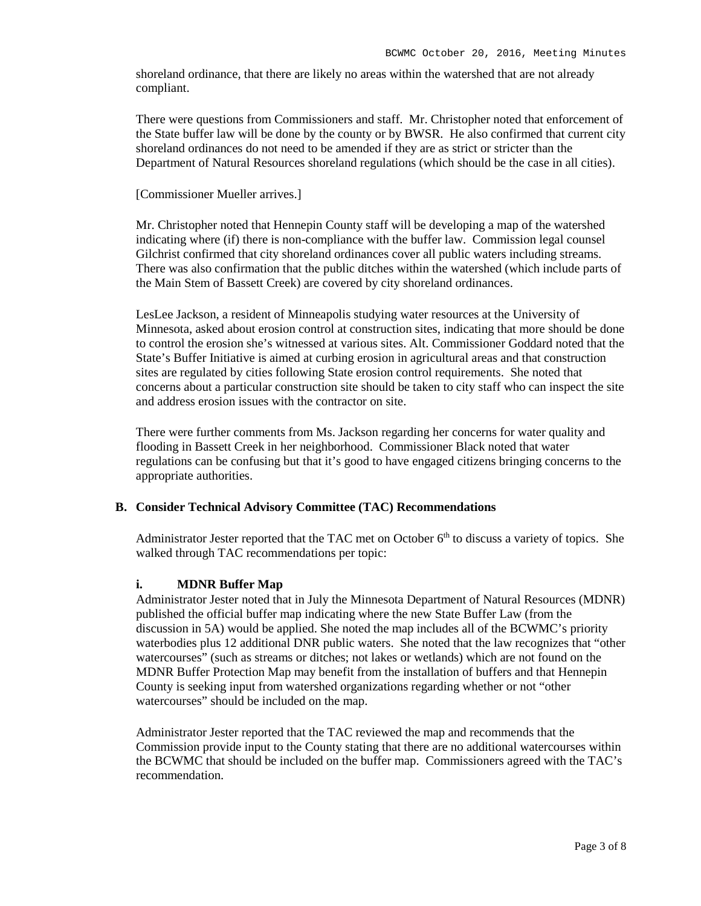shoreland ordinance, that there are likely no areas within the watershed that are not already compliant.

There were questions from Commissioners and staff. Mr. Christopher noted that enforcement of the State buffer law will be done by the county or by BWSR. He also confirmed that current city shoreland ordinances do not need to be amended if they are as strict or stricter than the Department of Natural Resources shoreland regulations (which should be the case in all cities).

#### [Commissioner Mueller arrives.]

Mr. Christopher noted that Hennepin County staff will be developing a map of the watershed indicating where (if) there is non-compliance with the buffer law. Commission legal counsel Gilchrist confirmed that city shoreland ordinances cover all public waters including streams. There was also confirmation that the public ditches within the watershed (which include parts of the Main Stem of Bassett Creek) are covered by city shoreland ordinances.

LesLee Jackson, a resident of Minneapolis studying water resources at the University of Minnesota, asked about erosion control at construction sites, indicating that more should be done to control the erosion she's witnessed at various sites. Alt. Commissioner Goddard noted that the State's Buffer Initiative is aimed at curbing erosion in agricultural areas and that construction sites are regulated by cities following State erosion control requirements. She noted that concerns about a particular construction site should be taken to city staff who can inspect the site and address erosion issues with the contractor on site.

There were further comments from Ms. Jackson regarding her concerns for water quality and flooding in Bassett Creek in her neighborhood. Commissioner Black noted that water regulations can be confusing but that it's good to have engaged citizens bringing concerns to the appropriate authorities.

#### **B. Consider Technical Advisory Committee (TAC) Recommendations**

Administrator Jester reported that the TAC met on October  $6<sup>th</sup>$  to discuss a variety of topics. She walked through TAC recommendations per topic:

#### **i. MDNR Buffer Map**

Administrator Jester noted that in July the Minnesota Department of Natural Resources (MDNR) published the official buffer map indicating where the new State Buffer Law (from the discussion in 5A) would be applied. She noted the map includes all of the BCWMC's priority waterbodies plus 12 additional DNR public waters. She noted that the law recognizes that "other watercourses" (such as streams or ditches; not lakes or wetlands) which are not found on the MDNR Buffer Protection Map may benefit from the installation of buffers and that Hennepin County is seeking input from watershed organizations regarding whether or not "other watercourses" should be included on the map.

Administrator Jester reported that the TAC reviewed the map and recommends that the Commission provide input to the County stating that there are no additional watercourses within the BCWMC that should be included on the buffer map. Commissioners agreed with the TAC's recommendation.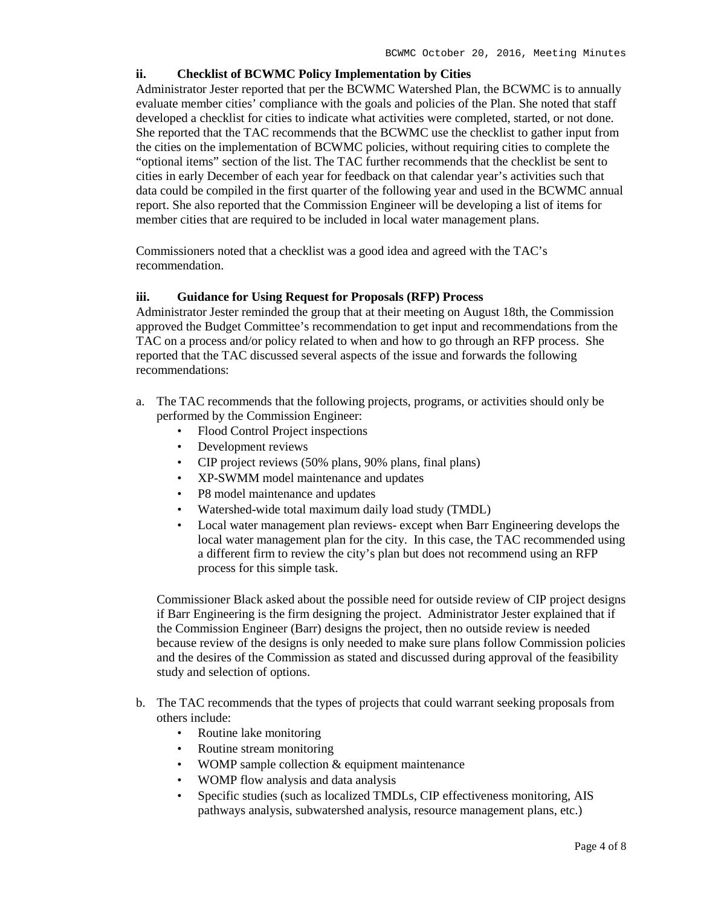## **ii. Checklist of BCWMC Policy Implementation by Cities**

Administrator Jester reported that per the BCWMC Watershed Plan, the BCWMC is to annually evaluate member cities' compliance with the goals and policies of the Plan. She noted that staff developed a checklist for cities to indicate what activities were completed, started, or not done. She reported that the TAC recommends that the BCWMC use the checklist to gather input from the cities on the implementation of BCWMC policies, without requiring cities to complete the "optional items" section of the list. The TAC further recommends that the checklist be sent to cities in early December of each year for feedback on that calendar year's activities such that data could be compiled in the first quarter of the following year and used in the BCWMC annual report. She also reported that the Commission Engineer will be developing a list of items for member cities that are required to be included in local water management plans.

Commissioners noted that a checklist was a good idea and agreed with the TAC's recommendation.

## **iii. Guidance for Using Request for Proposals (RFP) Process**

Administrator Jester reminded the group that at their meeting on August 18th, the Commission approved the Budget Committee's recommendation to get input and recommendations from the TAC on a process and/or policy related to when and how to go through an RFP process. She reported that the TAC discussed several aspects of the issue and forwards the following recommendations:

- a. The TAC recommends that the following projects, programs, or activities should only be performed by the Commission Engineer:
	- Flood Control Project inspections
	- Development reviews
	- CIP project reviews (50% plans, 90% plans, final plans)
	- XP-SWMM model maintenance and updates
	- P8 model maintenance and updates
	- Watershed-wide total maximum daily load study (TMDL)
	- Local water management plan reviews- except when Barr Engineering develops the local water management plan for the city. In this case, the TAC recommended using a different firm to review the city's plan but does not recommend using an RFP process for this simple task.

Commissioner Black asked about the possible need for outside review of CIP project designs if Barr Engineering is the firm designing the project. Administrator Jester explained that if the Commission Engineer (Barr) designs the project, then no outside review is needed because review of the designs is only needed to make sure plans follow Commission policies and the desires of the Commission as stated and discussed during approval of the feasibility study and selection of options.

- b. The TAC recommends that the types of projects that could warrant seeking proposals from others include:
	- Routine lake monitoring
	- Routine stream monitoring
	- WOMP sample collection  $&$  equipment maintenance
	- WOMP flow analysis and data analysis
	- Specific studies (such as localized TMDLs, CIP effectiveness monitoring, AIS pathways analysis, subwatershed analysis, resource management plans, etc.)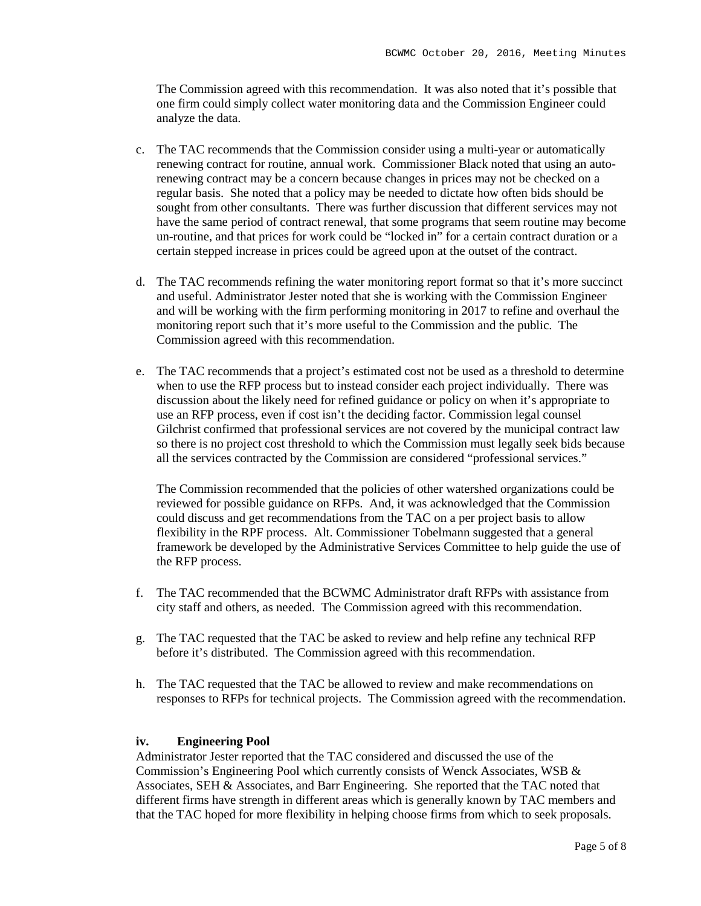The Commission agreed with this recommendation. It was also noted that it's possible that one firm could simply collect water monitoring data and the Commission Engineer could analyze the data.

- c. The TAC recommends that the Commission consider using a multi-year or automatically renewing contract for routine, annual work. Commissioner Black noted that using an autorenewing contract may be a concern because changes in prices may not be checked on a regular basis. She noted that a policy may be needed to dictate how often bids should be sought from other consultants. There was further discussion that different services may not have the same period of contract renewal, that some programs that seem routine may become un-routine, and that prices for work could be "locked in" for a certain contract duration or a certain stepped increase in prices could be agreed upon at the outset of the contract.
- d. The TAC recommends refining the water monitoring report format so that it's more succinct and useful. Administrator Jester noted that she is working with the Commission Engineer and will be working with the firm performing monitoring in 2017 to refine and overhaul the monitoring report such that it's more useful to the Commission and the public. The Commission agreed with this recommendation.
- e. The TAC recommends that a project's estimated cost not be used as a threshold to determine when to use the RFP process but to instead consider each project individually. There was discussion about the likely need for refined guidance or policy on when it's appropriate to use an RFP process, even if cost isn't the deciding factor. Commission legal counsel Gilchrist confirmed that professional services are not covered by the municipal contract law so there is no project cost threshold to which the Commission must legally seek bids because all the services contracted by the Commission are considered "professional services."

The Commission recommended that the policies of other watershed organizations could be reviewed for possible guidance on RFPs. And, it was acknowledged that the Commission could discuss and get recommendations from the TAC on a per project basis to allow flexibility in the RPF process. Alt. Commissioner Tobelmann suggested that a general framework be developed by the Administrative Services Committee to help guide the use of the RFP process.

- f. The TAC recommended that the BCWMC Administrator draft RFPs with assistance from city staff and others, as needed. The Commission agreed with this recommendation.
- g. The TAC requested that the TAC be asked to review and help refine any technical RFP before it's distributed. The Commission agreed with this recommendation.
- h. The TAC requested that the TAC be allowed to review and make recommendations on responses to RFPs for technical projects. The Commission agreed with the recommendation.

#### **iv. Engineering Pool**

Administrator Jester reported that the TAC considered and discussed the use of the Commission's Engineering Pool which currently consists of Wenck Associates, WSB & Associates, SEH & Associates, and Barr Engineering. She reported that the TAC noted that different firms have strength in different areas which is generally known by TAC members and that the TAC hoped for more flexibility in helping choose firms from which to seek proposals.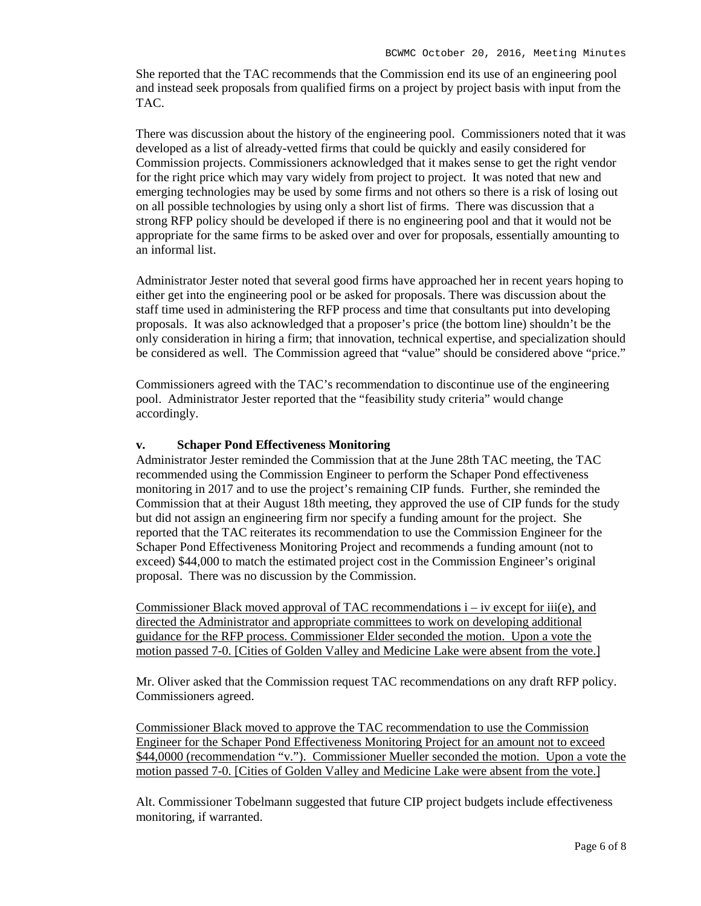She reported that the TAC recommends that the Commission end its use of an engineering pool and instead seek proposals from qualified firms on a project by project basis with input from the TAC.

There was discussion about the history of the engineering pool. Commissioners noted that it was developed as a list of already-vetted firms that could be quickly and easily considered for Commission projects. Commissioners acknowledged that it makes sense to get the right vendor for the right price which may vary widely from project to project. It was noted that new and emerging technologies may be used by some firms and not others so there is a risk of losing out on all possible technologies by using only a short list of firms. There was discussion that a strong RFP policy should be developed if there is no engineering pool and that it would not be appropriate for the same firms to be asked over and over for proposals, essentially amounting to an informal list.

Administrator Jester noted that several good firms have approached her in recent years hoping to either get into the engineering pool or be asked for proposals. There was discussion about the staff time used in administering the RFP process and time that consultants put into developing proposals. It was also acknowledged that a proposer's price (the bottom line) shouldn't be the only consideration in hiring a firm; that innovation, technical expertise, and specialization should be considered as well. The Commission agreed that "value" should be considered above "price."

Commissioners agreed with the TAC's recommendation to discontinue use of the engineering pool. Administrator Jester reported that the "feasibility study criteria" would change accordingly.

## **v. Schaper Pond Effectiveness Monitoring**

Administrator Jester reminded the Commission that at the June 28th TAC meeting, the TAC recommended using the Commission Engineer to perform the Schaper Pond effectiveness monitoring in 2017 and to use the project's remaining CIP funds. Further, she reminded the Commission that at their August 18th meeting, they approved the use of CIP funds for the study but did not assign an engineering firm nor specify a funding amount for the project. She reported that the TAC reiterates its recommendation to use the Commission Engineer for the Schaper Pond Effectiveness Monitoring Project and recommends a funding amount (not to exceed) \$44,000 to match the estimated project cost in the Commission Engineer's original proposal. There was no discussion by the Commission.

Commissioner Black moved approval of TAC recommendations  $i - iv$  except for iii(e), and directed the Administrator and appropriate committees to work on developing additional guidance for the RFP process. Commissioner Elder seconded the motion. Upon a vote the motion passed 7-0. [Cities of Golden Valley and Medicine Lake were absent from the vote.]

Mr. Oliver asked that the Commission request TAC recommendations on any draft RFP policy. Commissioners agreed.

Commissioner Black moved to approve the TAC recommendation to use the Commission Engineer for the Schaper Pond Effectiveness Monitoring Project for an amount not to exceed \$44,0000 (recommendation "v."). Commissioner Mueller seconded the motion. Upon a vote the motion passed 7-0. [Cities of Golden Valley and Medicine Lake were absent from the vote.]

Alt. Commissioner Tobelmann suggested that future CIP project budgets include effectiveness monitoring, if warranted.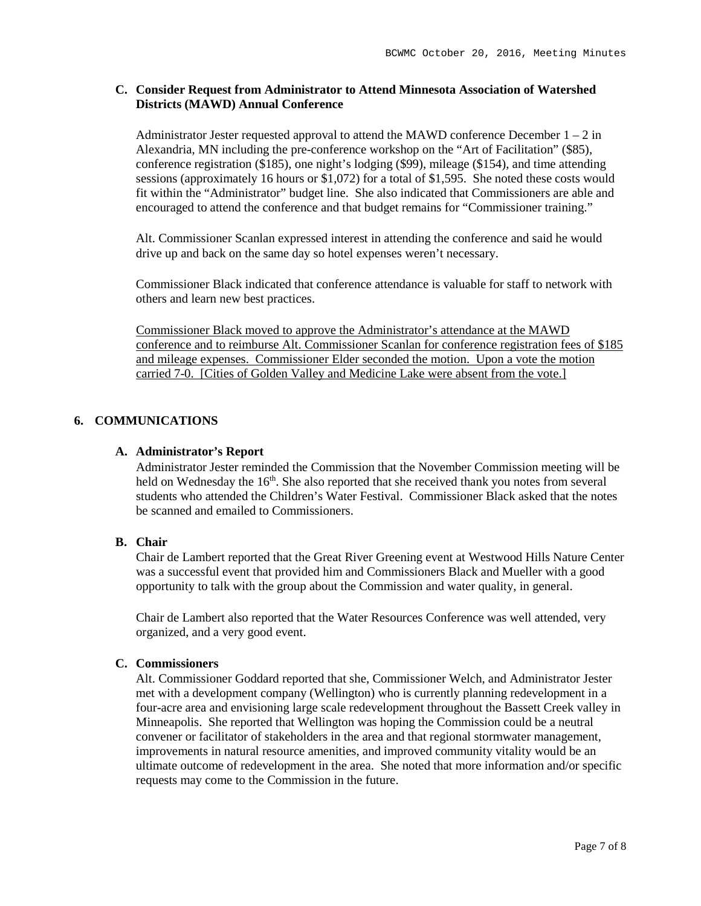## **C. Consider Request from Administrator to Attend Minnesota Association of Watershed Districts (MAWD) Annual Conference**

Administrator Jester requested approval to attend the MAWD conference December  $1 - 2$  in Alexandria, MN including the pre-conference workshop on the "Art of Facilitation" (\$85), conference registration (\$185), one night's lodging (\$99), mileage (\$154), and time attending sessions (approximately 16 hours or \$1,072) for a total of \$1,595. She noted these costs would fit within the "Administrator" budget line. She also indicated that Commissioners are able and encouraged to attend the conference and that budget remains for "Commissioner training."

Alt. Commissioner Scanlan expressed interest in attending the conference and said he would drive up and back on the same day so hotel expenses weren't necessary.

Commissioner Black indicated that conference attendance is valuable for staff to network with others and learn new best practices.

Commissioner Black moved to approve the Administrator's attendance at the MAWD conference and to reimburse Alt. Commissioner Scanlan for conference registration fees of \$185 and mileage expenses. Commissioner Elder seconded the motion. Upon a vote the motion carried 7-0. [Cities of Golden Valley and Medicine Lake were absent from the vote.]

## **6. COMMUNICATIONS**

#### **A. Administrator's Report**

Administrator Jester reminded the Commission that the November Commission meeting will be held on Wednesday the  $16<sup>th</sup>$ . She also reported that she received thank you notes from several students who attended the Children's Water Festival. Commissioner Black asked that the notes be scanned and emailed to Commissioners.

#### **B. Chair**

Chair de Lambert reported that the Great River Greening event at Westwood Hills Nature Center was a successful event that provided him and Commissioners Black and Mueller with a good opportunity to talk with the group about the Commission and water quality, in general.

Chair de Lambert also reported that the Water Resources Conference was well attended, very organized, and a very good event.

## **C. Commissioners**

Alt. Commissioner Goddard reported that she, Commissioner Welch, and Administrator Jester met with a development company (Wellington) who is currently planning redevelopment in a four-acre area and envisioning large scale redevelopment throughout the Bassett Creek valley in Minneapolis. She reported that Wellington was hoping the Commission could be a neutral convener or facilitator of stakeholders in the area and that regional stormwater management, improvements in natural resource amenities, and improved community vitality would be an ultimate outcome of redevelopment in the area. She noted that more information and/or specific requests may come to the Commission in the future.